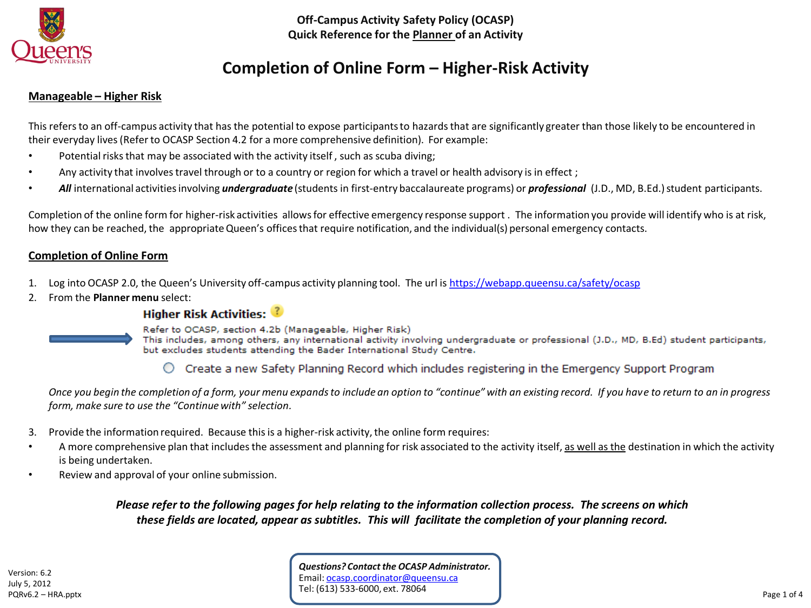

# **Completion of Online Form – Higher-Risk Activity**

#### **Manageable – Higher Risk**

This refers to an off-campus activity that has the potential to expose participants to hazards that are significantly greater than those likely to be encountered in their everyday lives (Refer to OCASP Section 4.2 for a more comprehensive definition). For example:

- Potential risks that may be associated with the activity itself, such as scuba diving;
- Any activity that involves travel through or to a country or region for which a travel or health advisory is in effect;
- *All* international activities involving *undergraduate* (students in first-entry baccalaureate programs) or *professional* (J.D., MD, B.Ed.) student participants.

Completion of the online form for higher-risk activities allows for effective emergency response support . The information you provide will identify who is at risk, how they can be reached, the appropriate Queen's offices that require notification, and the individual(s) personal emergency contacts.

#### **Completion of Online Form**

- 1. Log into OCASP 2.0, the Queen's University off-campus activity planning tool. The url is <https://webapp.queensu.ca/safety/ocasp>
- 2. From the **Planner menu** select:

## **Higher Risk Activities:**



Refer to OCASP, section 4.2b (Manageable, Higher Risk)

This includes, among others, any international activity involving undergraduate or professional (J.D., MD, B.Ed) student participants, but excludes students attending the Bader International Study Centre.

 $\circlearrowright$  Create a new Safety Planning Record which includes registering in the Emergency Support Program

*Once you begin the completion of a form, your menu expands to include an option to "continue" with an existing record. If you have to return to an in progress form, make sure to use the "Continue with" selection.*

- 3. Provide the information required. Because this is a higher-risk activity, the online form requires:
- A more comprehensive plan that includes the assessment and planning for risk associated to the activity itself, as well as the destination in which the activity is being undertaken.
- Review and approval of your online submission.

*Please refer to the following pages for help relating to the information collection process. The screens on which these fields are located, appear as subtitles. This will facilitate the completion of your planning record.*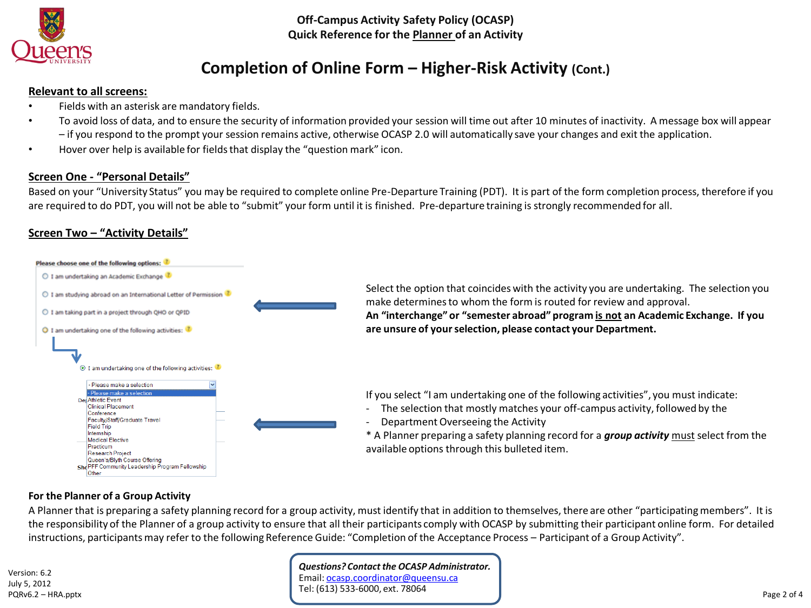

# **Completion of Online Form – Higher-Risk Activity (Cont.)**

#### **Relevant to all screens:**

- Fields with an asterisk are mandatory fields.
- To avoid loss of data, and to ensure the security of information provided your session will time out after 10 minutes of inactivity. A message box will appear – if you respond to the prompt your session remains active, otherwise OCASP 2.0 will automatically save your changes and exit the application.
- Hover over help is available for fields that display the "question mark" icon.

### **Screen One - "Personal Details"**

Based on your "University Status" you may be required to complete online Pre-Departure Training (PDT). It is part of the form completion process, therefore if you are required to do PDT, you will not be able to "submit" your form until it is finished. Pre-departure training is strongly recommended for all.

## **Screen Two – "Activity Details"**



Select the option that coincides with the activity you are undertaking. The selection you make determines to whom the form is routed for review and approval. **An "interchange" or "semester abroad" program is not an Academic Exchange. If you are unsure of your selection, please contact your Department.**

If you select "I am undertaking one of the following activities", you must indicate:

- The selection that mostly matches your off-campus activity, followed by the

Department Overseeing the Activity

\* A Planner preparing a safety planning record for a *group activity* must select from the available options through this bulleted item.

#### **For the Planner of a Group Activity**

A Planner that is preparing a safety planning record for a group activity, must identify that in addition to themselves, there are other "participating members". It is the responsibility of the Planner of a group activity to ensure that all their participants comply with OCASP by submitting their participant online form. For detailed instructions, participants may refer to the following Reference Guide: "Completion of the Acceptance Process – Participant of a Group Activity".

Version: 6.2 July 5, 2012 PQRv6.2 – HRA.pptx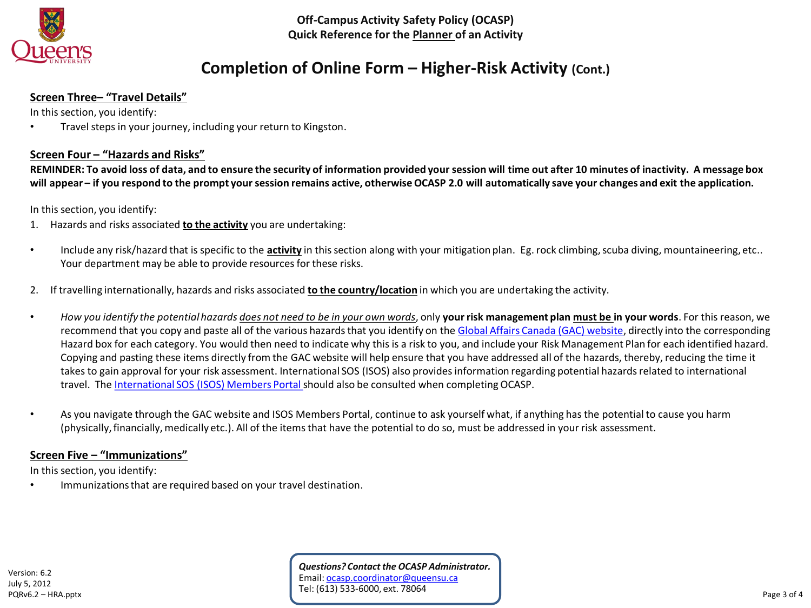

# **Completion of Online Form – Higher-Risk Activity (Cont.)**

## **Screen Three– "Travel Details"**

In this section, you identify:

• Travel steps in your journey, including your return to Kingston.

### **Screen Four – "Hazards and Risks"**

**REMINDER: To avoid loss of data, and to ensure the security of information provided your session will time out after 10 minutes of inactivity. A message box will appear – if you respond to the prompt your session remains active, otherwise OCASP 2.0 will automatically save your changes and exit the application.**

In this section, you identify:

- 1. Hazards and risks associated **to the activity** you are undertaking:
- Include any risk/hazard that is specific to the **activity** in this section along with your mitigation plan. Eg. rock climbing, scuba diving, mountaineering, etc.. Your department may be able to provide resources for these risks.
- 2. If travelling internationally, hazards and risks associated **to the country/location** in which you are undertaking the activity.
- *How you identify the potential hazards does not need to be in your own words*, only **your risk management plan must be in your words**. For this reason, we recommend that you copy and paste all of the various hazards that you identify on the [Global Affairs Canada \(GAC\) website,](https://travel.gc.ca/travelling/advisories) directly into the corresponding Hazard box for each category. You would then need to indicate why this is a risk to you, and include your Risk Management Plan for each identified hazard. Copying and pasting these items directly from the GAC website will help ensure that you have addressed all of the hazards, thereby, reducing the time it takes to gain approval for your risk assessment. International SOS (ISOS) also provides information regarding potential hazards related to international travel. The [International SOS \(ISOS\) Members Portal](https://www.internationalsos.com/members_home/login/login.cfm) should also be consulted when completing OCASP.
- As you navigate through the GAC website and ISOS Members Portal, continue to ask yourself what, if anything has the potential to cause you harm (physically, financially, medically etc.). All of the items that have the potential to do so, must be addressed in your risk assessment.

### **Screen Five – "Immunizations"**

In this section, you identify:

Immunizations that are required based on your travel destination.